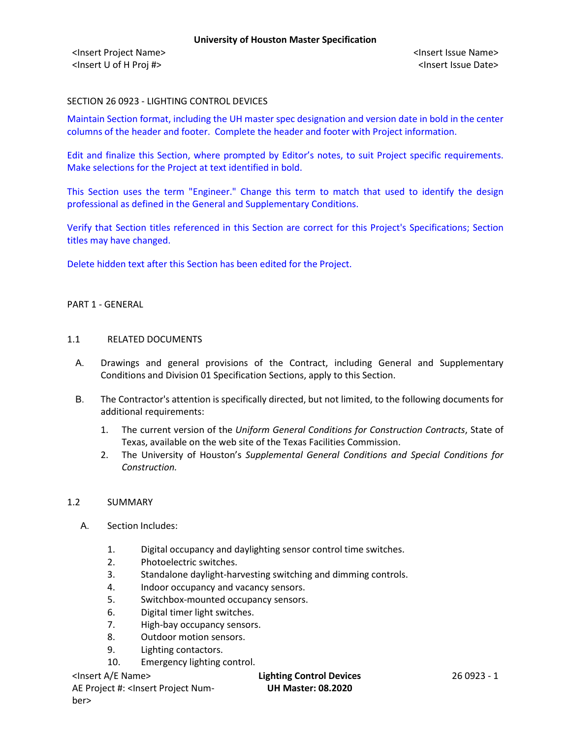### SECTION 26 0923 - LIGHTING CONTROL DEVICES

Maintain Section format, including the UH master spec designation and version date in bold in the center columns of the header and footer. Complete the header and footer with Project information.

Edit and finalize this Section, where prompted by Editor's notes, to suit Project specific requirements. Make selections for the Project at text identified in bold.

This Section uses the term "Engineer." Change this term to match that used to identify the design professional as defined in the General and Supplementary Conditions.

Verify that Section titles referenced in this Section are correct for this Project's Specifications; Section titles may have changed.

Delete hidden text after this Section has been edited for the Project.

#### PART 1 - GENERAL

#### 1.1 RELATED DOCUMENTS

- A. Drawings and general provisions of the Contract, including General and Supplementary Conditions and Division 01 Specification Sections, apply to this Section.
- B. The Contractor's attention is specifically directed, but not limited, to the following documents for additional requirements:
	- 1. The current version of the *Uniform General Conditions for Construction Contracts*, State of Texas, available on the web site of the Texas Facilities Commission.
	- 2. The University of Houston's *Supplemental General Conditions and Special Conditions for Construction.*

#### 1.2 SUMMARY

- A. Section Includes:
	- 1. Digital occupancy and daylighting sensor control time switches.
	- 2. Photoelectric switches.
	- 3. Standalone daylight-harvesting switching and dimming controls.
	- 4. Indoor occupancy and vacancy sensors.
	- 5. Switchbox-mounted occupancy sensors.
	- 6. Digital timer light switches.
	- 7. High-bay occupancy sensors.
	- 8. Outdoor motion sensors.
	- 9. Lighting contactors.
	- 10. Emergency lighting control.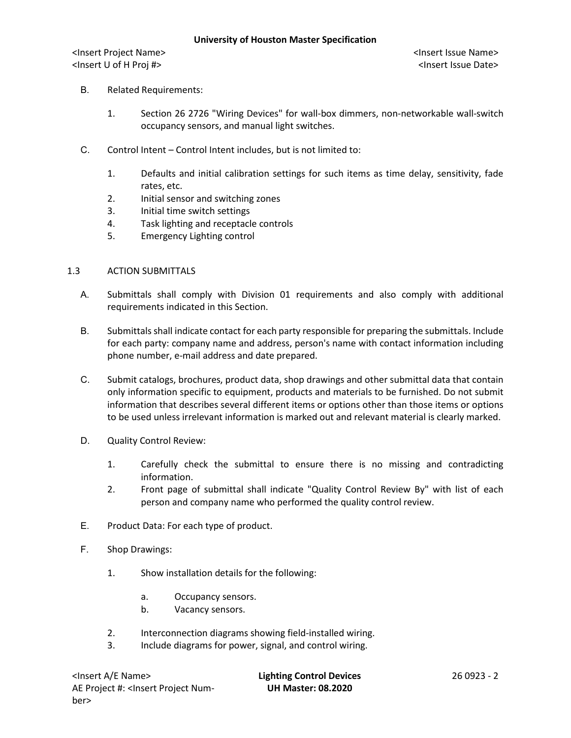- B. Related Requirements:
	- 1. Section 26 2726 "Wiring Devices" for wall-box dimmers, non-networkable wall-switch occupancy sensors, and manual light switches.
- C. Control Intent Control Intent includes, but is not limited to:
	- 1. Defaults and initial calibration settings for such items as time delay, sensitivity, fade rates, etc.
	- 2. Initial sensor and switching zones
	- 3. Initial time switch settings
	- 4. Task lighting and receptacle controls
	- 5. Emergency Lighting control

#### 1.3 ACTION SUBMITTALS

- A. Submittals shall comply with Division 01 requirements and also comply with additional requirements indicated in this Section.
- B. Submittals shall indicate contact for each party responsible for preparing the submittals. Include for each party: company name and address, person's name with contact information including phone number, e-mail address and date prepared.
- C. Submit catalogs, brochures, product data, shop drawings and other submittal data that contain only information specific to equipment, products and materials to be furnished. Do not submit information that describes several different items or options other than those items or options to be used unless irrelevant information is marked out and relevant material is clearly marked.
- D. Quality Control Review:
	- 1. Carefully check the submittal to ensure there is no missing and contradicting information.
	- 2. Front page of submittal shall indicate "Quality Control Review By" with list of each person and company name who performed the quality control review.
- E. Product Data: For each type of product.
- F. Shop Drawings:
	- 1. Show installation details for the following:
		- a. Occupancy sensors.
		- b. Vacancy sensors.
	- 2. Interconnection diagrams showing field-installed wiring.
	- 3. Include diagrams for power, signal, and control wiring.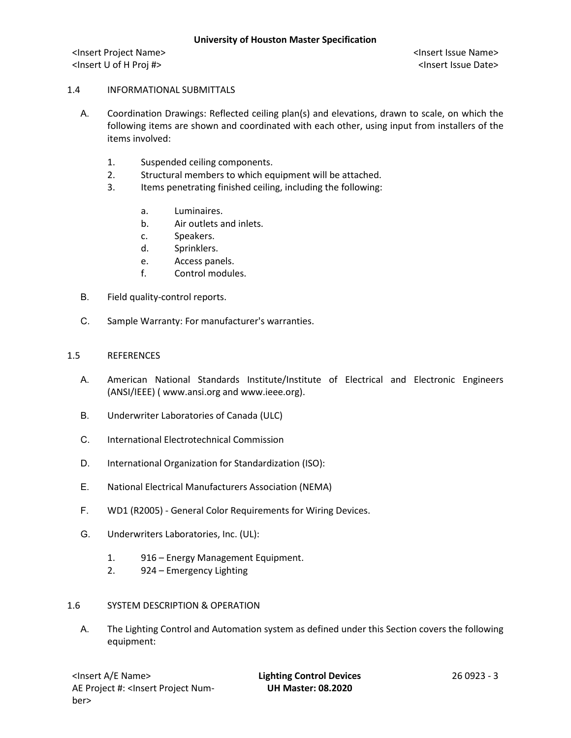### 1.4 INFORMATIONAL SUBMITTALS

- A. Coordination Drawings: Reflected ceiling plan(s) and elevations, drawn to scale, on which the following items are shown and coordinated with each other, using input from installers of the items involved:
	- 1. Suspended ceiling components.
	- 2. Structural members to which equipment will be attached.
	- 3. Items penetrating finished ceiling, including the following:
		- a. Luminaires.
		- b. Air outlets and inlets.
		- c. Speakers.
		- d. Sprinklers.
		- e. Access panels.
		- f. Control modules.
- B. Field quality-control reports.
- C. Sample Warranty: For manufacturer's warranties.

#### 1.5 REFERENCES

- A. American National Standards Institute/Institute of Electrical and Electronic Engineers (ANSI/IEEE) ( www.ansi.org and www.ieee.org).
- B. Underwriter Laboratories of Canada (ULC)
- C. International Electrotechnical Commission
- D. International Organization for Standardization (ISO):
- E. National Electrical Manufacturers Association (NEMA)
- F. WD1 (R2005) General Color Requirements for Wiring Devices.
- G. Underwriters Laboratories, Inc. (UL):
	- 1. 916 Energy Management Equipment.
	- 2. 924 Emergency Lighting

#### 1.6 SYSTEM DESCRIPTION & OPERATION

A. The Lighting Control and Automation system as defined under this Section covers the following equipment: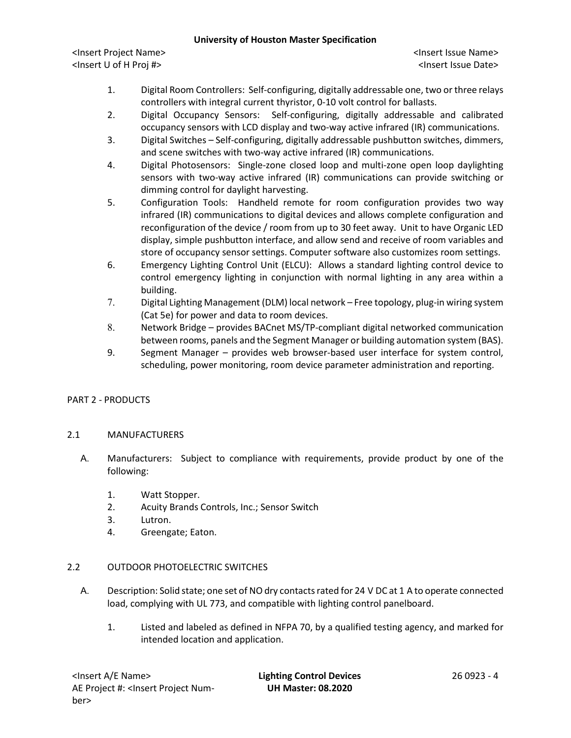<Insert Project Name> <Insert Issue Name> <Insert U of H Proj #> <Insert Issue Date>

- 1. Digital Room Controllers: Self-configuring, digitally addressable one, two or three relays controllers with integral current thyristor, 0-10 volt control for ballasts.
- 2. Digital Occupancy Sensors: Self-configuring, digitally addressable and calibrated occupancy sensors with LCD display and two-way active infrared (IR) communications.
- 3. Digital Switches Self-configuring, digitally addressable pushbutton switches, dimmers, and scene switches with two-way active infrared (IR) communications.
- 4. Digital Photosensors: Single-zone closed loop and multi-zone open loop daylighting sensors with two-way active infrared (IR) communications can provide switching or dimming control for daylight harvesting.
- 5. Configuration Tools: Handheld remote for room configuration provides two way infrared (IR) communications to digital devices and allows complete configuration and reconfiguration of the device / room from up to 30 feet away. Unit to have Organic LED display, simple pushbutton interface, and allow send and receive of room variables and store of occupancy sensor settings. Computer software also customizes room settings.
- 6. Emergency Lighting Control Unit (ELCU): Allows a standard lighting control device to control emergency lighting in conjunction with normal lighting in any area within a building.
- 7. Digital Lighting Management (DLM) local network Free topology, plug-in wiring system (Cat 5e) for power and data to room devices.
- 8. Network Bridge provides BACnet MS/TP-compliant digital networked communication between rooms, panels and the Segment Manager or building automation system (BAS).
- 9. Segment Manager provides web browser-based user interface for system control, scheduling, power monitoring, room device parameter administration and reporting.

# PART 2 - PRODUCTS

### 2.1 MANUFACTURERS

- A. Manufacturers: Subject to compliance with requirements, provide product by one of the following:
	- 1. Watt Stopper.
	- 2. Acuity Brands Controls, Inc.; Sensor Switch
	- 3. Lutron.
	- 4. Greengate; Eaton.

# 2.2 OUTDOOR PHOTOELECTRIC SWITCHES

- A. Description: Solid state; one set of NO dry contacts rated for 24 V DC at 1 A to operate connected load, complying with UL 773, and compatible with lighting control panelboard.
	- 1. Listed and labeled as defined in NFPA 70, by a qualified testing agency, and marked for intended location and application.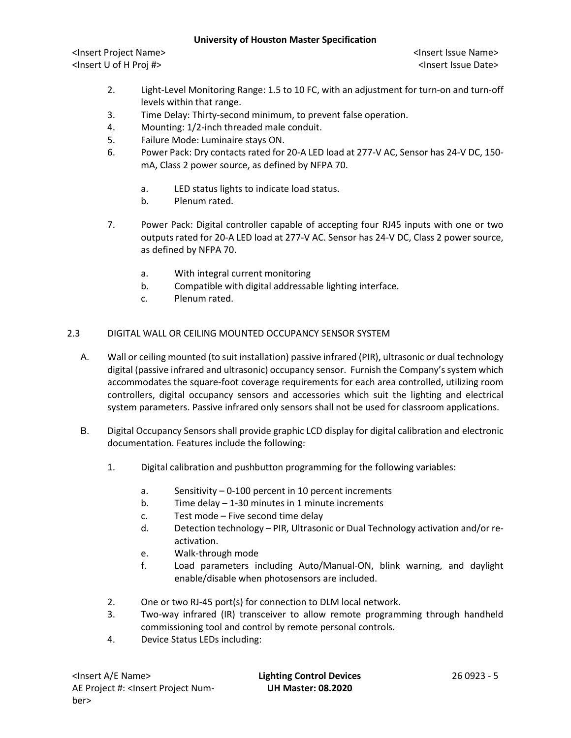<Insert Project Name> <Insert Issue Name> <Insert U of H Proj #> <Insert Issue Date>

- 2. Light-Level Monitoring Range: 1.5 to 10 FC, with an adjustment for turn-on and turn-off levels within that range.
- 3. Time Delay: Thirty-second minimum, to prevent false operation.
- 4. Mounting: 1/2-inch threaded male conduit.
- 5. Failure Mode: Luminaire stays ON.
- 6. Power Pack: Dry contacts rated for 20-A LED load at 277-V AC, Sensor has 24-V DC, 150 mA, Class 2 power source, as defined by NFPA 70.
	- a. LED status lights to indicate load status.
	- b. Plenum rated.
- 7. Power Pack: Digital controller capable of accepting four RJ45 inputs with one or two outputs rated for 20-A LED load at 277-V AC. Sensor has 24-V DC, Class 2 power source, as defined by NFPA 70.
	- a. With integral current monitoring
	- b. Compatible with digital addressable lighting interface.
	- c. Plenum rated.

### 2.3 DIGITAL WALL OR CEILING MOUNTED OCCUPANCY SENSOR SYSTEM

- A. Wall or ceiling mounted (to suit installation) passive infrared (PIR), ultrasonic or dual technology digital (passive infrared and ultrasonic) occupancy sensor. Furnish the Company's system which accommodates the square-foot coverage requirements for each area controlled, utilizing room controllers, digital occupancy sensors and accessories which suit the lighting and electrical system parameters. Passive infrared only sensors shall not be used for classroom applications.
- B. Digital Occupancy Sensors shall provide graphic LCD display for digital calibration and electronic documentation. Features include the following:
	- 1. Digital calibration and pushbutton programming for the following variables:
		- a. Sensitivity 0-100 percent in 10 percent increments
		- b. Time delay 1-30 minutes in 1 minute increments
		- c. Test mode Five second time delay
		- d. Detection technology PIR, Ultrasonic or Dual Technology activation and/or reactivation.
		- e. Walk-through mode
		- f. Load parameters including Auto/Manual-ON, blink warning, and daylight enable/disable when photosensors are included.
	- 2. One or two RJ-45 port(s) for connection to DLM local network.
	- 3. Two-way infrared (IR) transceiver to allow remote programming through handheld commissioning tool and control by remote personal controls.
	- 4. Device Status LEDs including: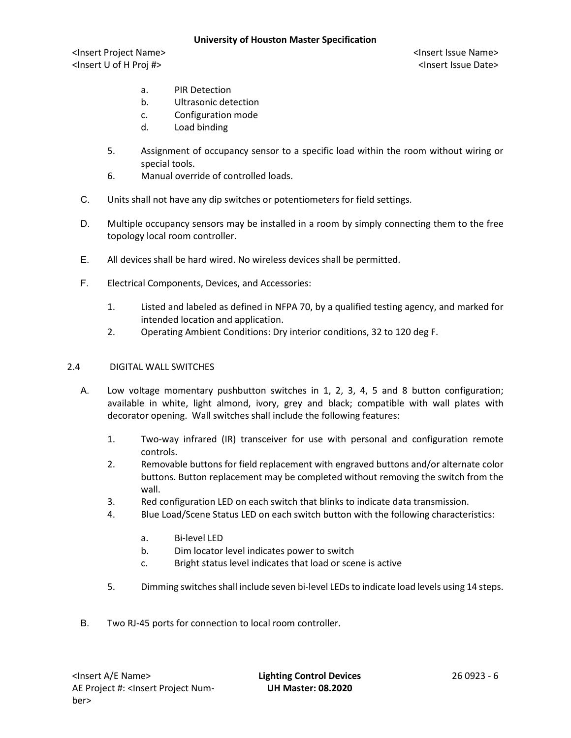<Insert Project Name> <Insert Issue Name> <Insert U of H Proj #> <Insert Issue Date>

- a. PIR Detection
- b. Ultrasonic detection
- c. Configuration mode
- d. Load binding
- 5. Assignment of occupancy sensor to a specific load within the room without wiring or special tools.
- 6. Manual override of controlled loads.
- C. Units shall not have any dip switches or potentiometers for field settings.
- D. Multiple occupancy sensors may be installed in a room by simply connecting them to the free topology local room controller.
- E. All devices shall be hard wired. No wireless devices shall be permitted.
- F. Electrical Components, Devices, and Accessories:
	- 1. Listed and labeled as defined in NFPA 70, by a qualified testing agency, and marked for intended location and application.
	- 2. Operating Ambient Conditions: Dry interior conditions, 32 to 120 deg F.

### 2.4 DIGITAL WALL SWITCHES

- A. Low voltage momentary pushbutton switches in 1, 2, 3, 4, 5 and 8 button configuration; available in white, light almond, ivory, grey and black; compatible with wall plates with decorator opening. Wall switches shall include the following features:
	- 1. Two-way infrared (IR) transceiver for use with personal and configuration remote controls.
	- 2. Removable buttons for field replacement with engraved buttons and/or alternate color buttons. Button replacement may be completed without removing the switch from the wall.
	- 3. Red configuration LED on each switch that blinks to indicate data transmission.
	- 4. Blue Load/Scene Status LED on each switch button with the following characteristics:
		- a. Bi-level LED
		- b. Dim locator level indicates power to switch
		- c. Bright status level indicates that load or scene is active
	- 5. Dimming switches shall include seven bi-level LEDs to indicate load levels using 14 steps.
- B. Two RJ-45 ports for connection to local room controller.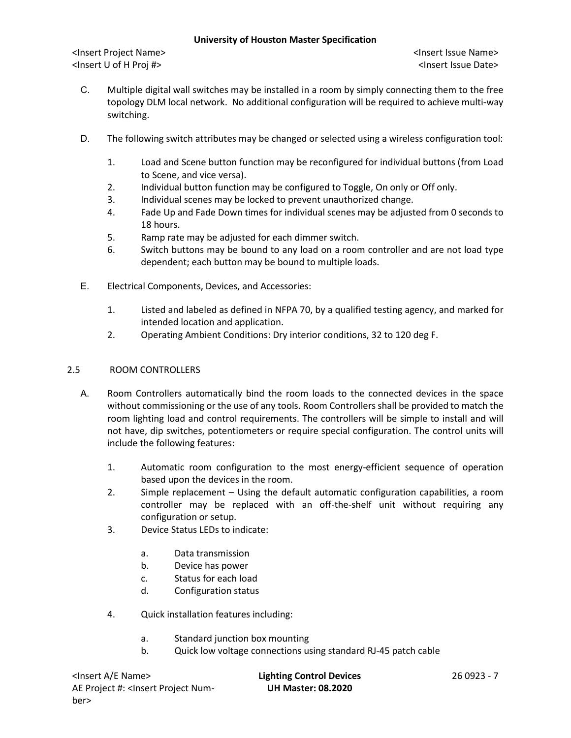<Insert Project Name> <Insert Issue Name> <Insert U of H Proj #> <Insert Issue Date>

- C. Multiple digital wall switches may be installed in a room by simply connecting them to the free topology DLM local network. No additional configuration will be required to achieve multi-way switching.
- D. The following switch attributes may be changed or selected using a wireless configuration tool:
	- 1. Load and Scene button function may be reconfigured for individual buttons (from Load to Scene, and vice versa).
	- 2. Individual button function may be configured to Toggle, On only or Off only.
	- 3. Individual scenes may be locked to prevent unauthorized change.
	- 4. Fade Up and Fade Down times for individual scenes may be adjusted from 0 seconds to 18 hours.
	- 5. Ramp rate may be adjusted for each dimmer switch.
	- 6. Switch buttons may be bound to any load on a room controller and are not load type dependent; each button may be bound to multiple loads.
- E. Electrical Components, Devices, and Accessories:
	- 1. Listed and labeled as defined in NFPA 70, by a qualified testing agency, and marked for intended location and application.
	- 2. Operating Ambient Conditions: Dry interior conditions, 32 to 120 deg F.

### 2.5 ROOM CONTROLLERS

- A. Room Controllers automatically bind the room loads to the connected devices in the space without commissioning or the use of any tools. Room Controllers shall be provided to match the room lighting load and control requirements. The controllers will be simple to install and will not have, dip switches, potentiometers or require special configuration. The control units will include the following features:
	- 1. Automatic room configuration to the most energy-efficient sequence of operation based upon the devices in the room.
	- 2. Simple replacement Using the default automatic configuration capabilities, a room controller may be replaced with an off-the-shelf unit without requiring any configuration or setup.
	- 3. Device Status LEDs to indicate:
		- a. Data transmission
		- b. Device has power
		- c. Status for each load
		- d. Configuration status
	- 4. Quick installation features including:
		- a. Standard junction box mounting
		- b. Quick low voltage connections using standard RJ-45 patch cable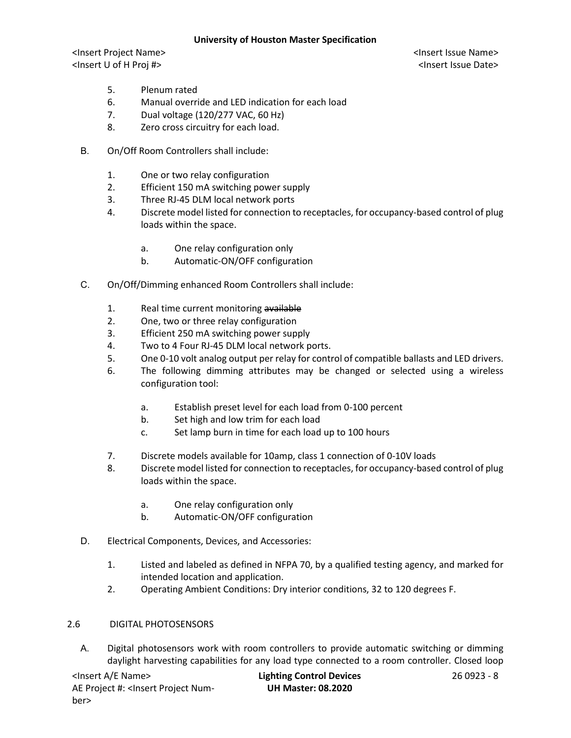<Insert Project Name> <Insert Issue Name> <Insert U of H Proj #> <Insert Issue Date>

- 5. Plenum rated
- 6. Manual override and LED indication for each load
- 7. Dual voltage (120/277 VAC, 60 Hz)
- 8. Zero cross circuitry for each load.
- B. On/Off Room Controllers shall include:
	- 1. One or two relay configuration
	- 2. Efficient 150 mA switching power supply
	- 3. Three RJ-45 DLM local network ports
	- 4. Discrete model listed for connection to receptacles, for occupancy-based control of plug loads within the space.
		- a. One relay configuration only
		- b. Automatic-ON/OFF configuration
- C. On/Off/Dimming enhanced Room Controllers shall include:
	- 1. Real time current monitoring available
	- 2. One, two or three relay configuration
	- 3. Efficient 250 mA switching power supply
	- 4. Two to 4 Four RJ-45 DLM local network ports.
	- 5. One 0-10 volt analog output per relay for control of compatible ballasts and LED drivers.
	- 6. The following dimming attributes may be changed or selected using a wireless configuration tool:
		- a. Establish preset level for each load from 0-100 percent
		- b. Set high and low trim for each load
		- c. Set lamp burn in time for each load up to 100 hours
	- 7. Discrete models available for 10amp, class 1 connection of 0-10V loads
	- 8. Discrete model listed for connection to receptacles, for occupancy-based control of plug loads within the space.
		- a. One relay configuration only
		- b. Automatic-ON/OFF configuration
- D. Electrical Components, Devices, and Accessories:
	- 1. Listed and labeled as defined in NFPA 70, by a qualified testing agency, and marked for intended location and application.
	- 2. Operating Ambient Conditions: Dry interior conditions, 32 to 120 degrees F.

### 2.6 DIGITAL PHOTOSENSORS

A. Digital photosensors work with room controllers to provide automatic switching or dimming daylight harvesting capabilities for any load type connected to a room controller. Closed loop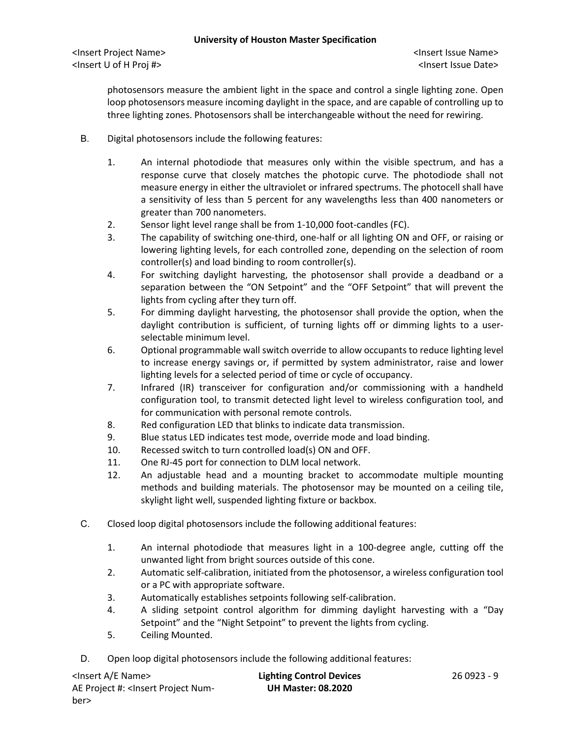photosensors measure the ambient light in the space and control a single lighting zone. Open loop photosensors measure incoming daylight in the space, and are capable of controlling up to three lighting zones. Photosensors shall be interchangeable without the need for rewiring.

- B. Digital photosensors include the following features:
	- 1. An internal photodiode that measures only within the visible spectrum, and has a response curve that closely matches the photopic curve. The photodiode shall not measure energy in either the ultraviolet or infrared spectrums. The photocell shall have a sensitivity of less than 5 percent for any wavelengths less than 400 nanometers or greater than 700 nanometers.
	- 2. Sensor light level range shall be from 1-10,000 foot-candles (FC).
	- 3. The capability of switching one-third, one-half or all lighting ON and OFF, or raising or lowering lighting levels, for each controlled zone, depending on the selection of room controller(s) and load binding to room controller(s).
	- 4. For switching daylight harvesting, the photosensor shall provide a deadband or a separation between the "ON Setpoint" and the "OFF Setpoint" that will prevent the lights from cycling after they turn off.
	- 5. For dimming daylight harvesting, the photosensor shall provide the option, when the daylight contribution is sufficient, of turning lights off or dimming lights to a userselectable minimum level.
	- 6. Optional programmable wall switch override to allow occupants to reduce lighting level to increase energy savings or, if permitted by system administrator, raise and lower lighting levels for a selected period of time or cycle of occupancy.
	- 7. Infrared (IR) transceiver for configuration and/or commissioning with a handheld configuration tool, to transmit detected light level to wireless configuration tool, and for communication with personal remote controls.
	- 8. Red configuration LED that blinks to indicate data transmission.
	- 9. Blue status LED indicates test mode, override mode and load binding.
	- 10. Recessed switch to turn controlled load(s) ON and OFF.
	- 11. One RJ-45 port for connection to DLM local network.
	- 12. An adjustable head and a mounting bracket to accommodate multiple mounting methods and building materials. The photosensor may be mounted on a ceiling tile, skylight light well, suspended lighting fixture or backbox.
- C. Closed loop digital photosensors include the following additional features:
	- 1. An internal photodiode that measures light in a 100-degree angle, cutting off the unwanted light from bright sources outside of this cone.
	- 2. Automatic self-calibration, initiated from the photosensor, a wireless configuration tool or a PC with appropriate software.
	- 3. Automatically establishes setpoints following self-calibration.
	- 4. A sliding setpoint control algorithm for dimming daylight harvesting with a "Day Setpoint" and the "Night Setpoint" to prevent the lights from cycling.
	- 5. Ceiling Mounted.
- D. Open loop digital photosensors include the following additional features:

| <lnsert a="" e="" name=""></lnsert>                                                                  | <b>Lighting Control Devices</b> | 26 0923 - 9 |
|------------------------------------------------------------------------------------------------------|---------------------------------|-------------|
| AE Project #: <lnsert num-<="" project="" td=""><td><b>UH Master: 08.2020</b></td><td></td></lnsert> | <b>UH Master: 08.2020</b>       |             |
| ber>                                                                                                 |                                 |             |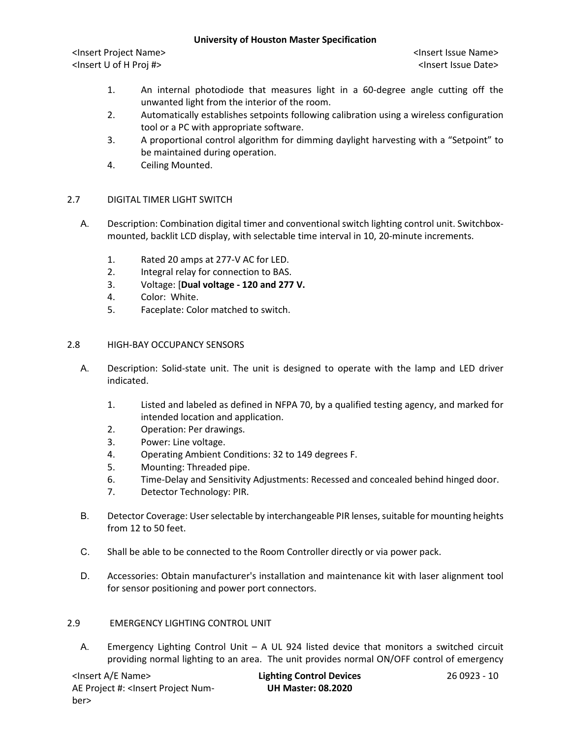<Insert Project Name> <Insert Issue Name> <Insert U of H Proj #> <Insert Issue Date>

- 1. An internal photodiode that measures light in a 60-degree angle cutting off the unwanted light from the interior of the room.
- 2. Automatically establishes setpoints following calibration using a wireless configuration tool or a PC with appropriate software.
- 3. A proportional control algorithm for dimming daylight harvesting with a "Setpoint" to be maintained during operation.
- 4. Ceiling Mounted.

### 2.7 DIGITAL TIMER LIGHT SWITCH

- A. Description: Combination digital timer and conventional switch lighting control unit. Switchboxmounted, backlit LCD display, with selectable time interval in 10, 20-minute increments.
	- 1. Rated 20 amps at 277-V AC for LED.
	- 2. Integral relay for connection to BAS.
	- 3. Voltage: [**Dual voltage - 120 and 277 V.**
	- 4. Color: White.
	- 5. Faceplate: Color matched to switch.

### 2.8 HIGH-BAY OCCUPANCY SENSORS

- A. Description: Solid-state unit. The unit is designed to operate with the lamp and LED driver indicated.
	- 1. Listed and labeled as defined in NFPA 70, by a qualified testing agency, and marked for intended location and application.
	- 2. Operation: Per drawings.
	- 3. Power: Line voltage.
	- 4. Operating Ambient Conditions: 32 to 149 degrees F.
	- 5. Mounting: Threaded pipe.
	- 6. Time-Delay and Sensitivity Adjustments: Recessed and concealed behind hinged door.
	- 7. Detector Technology: PIR.
- B. Detector Coverage: User selectable by interchangeable PIR lenses, suitable for mounting heights from 12 to 50 feet.
- C. Shall be able to be connected to the Room Controller directly or via power pack.
- D. Accessories: Obtain manufacturer's installation and maintenance kit with laser alignment tool for sensor positioning and power port connectors.

### 2.9 EMERGENCY LIGHTING CONTROL UNIT

A. Emergency Lighting Control Unit – A UL 924 listed device that monitors a switched circuit providing normal lighting to an area. The unit provides normal ON/OFF control of emergency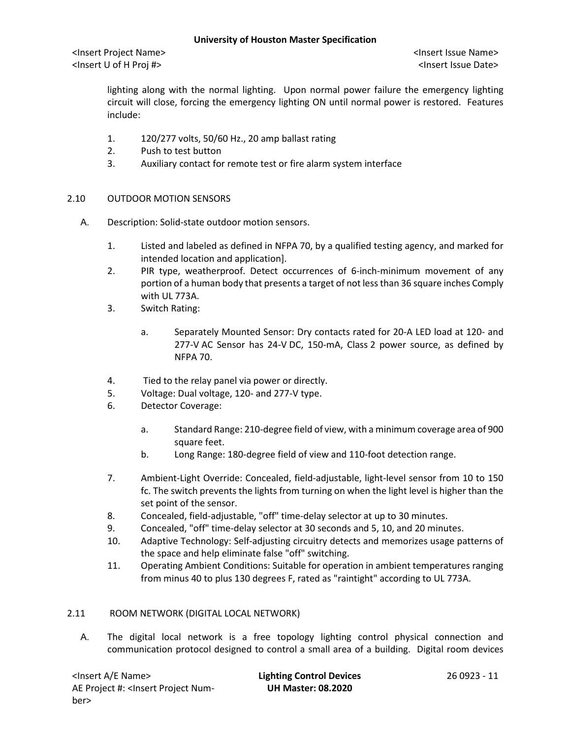lighting along with the normal lighting. Upon normal power failure the emergency lighting circuit will close, forcing the emergency lighting ON until normal power is restored. Features include:

- 1. 120/277 volts, 50/60 Hz., 20 amp ballast rating
- 2. Push to test button
- 3. Auxiliary contact for remote test or fire alarm system interface
- 2.10 OUTDOOR MOTION SENSORS
	- A. Description: Solid-state outdoor motion sensors.
		- 1. Listed and labeled as defined in NFPA 70, by a qualified testing agency, and marked for intended location and application].
		- 2. PIR type, weatherproof. Detect occurrences of 6-inch-minimum movement of any portion of a human body that presents a target of not less than 36 square inches Comply with UL 773A.
		- 3. Switch Rating:
			- a. Separately Mounted Sensor: Dry contacts rated for 20-A LED load at 120- and 277-V AC Sensor has 24-V DC, 150-mA, Class 2 power source, as defined by NFPA 70.
		- 4. Tied to the relay panel via power or directly.
		- 5. Voltage: Dual voltage, 120- and 277-V type.
		- 6. Detector Coverage:
			- a. Standard Range: 210-degree field of view, with a minimum coverage area of 900 square feet.
			- b. Long Range: 180-degree field of view and 110-foot detection range.
		- 7. Ambient-Light Override: Concealed, field-adjustable, light-level sensor from 10 to 150 fc. The switch prevents the lights from turning on when the light level is higher than the set point of the sensor.
		- 8. Concealed, field-adjustable, "off" time-delay selector at up to 30 minutes.
		- 9. Concealed, "off" time-delay selector at 30 seconds and 5, 10, and 20 minutes.
		- 10. Adaptive Technology: Self-adjusting circuitry detects and memorizes usage patterns of the space and help eliminate false "off" switching.
		- 11. Operating Ambient Conditions: Suitable for operation in ambient temperatures ranging from minus 40 to plus 130 degrees F, rated as "raintight" according to UL 773A.

### 2.11 ROOM NETWORK (DIGITAL LOCAL NETWORK)

A. The digital local network is a free topology lighting control physical connection and communication protocol designed to control a small area of a building. Digital room devices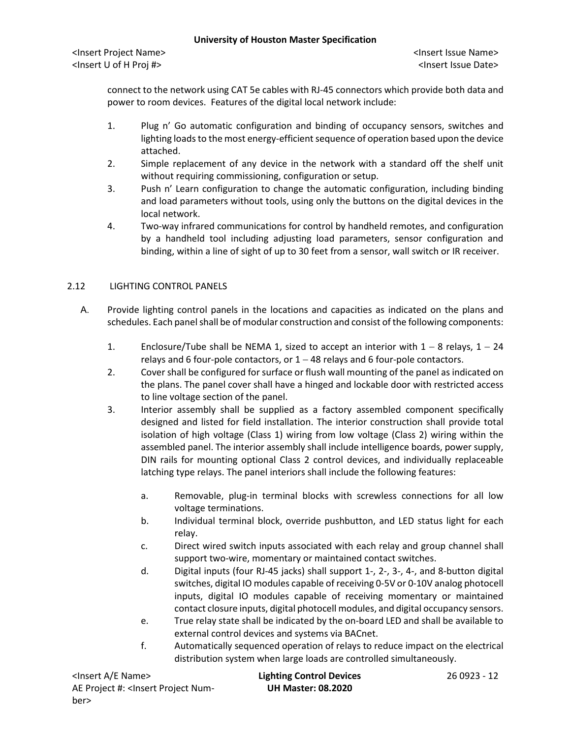connect to the network using CAT 5e cables with RJ-45 connectors which provide both data and power to room devices. Features of the digital local network include:

- 1. Plug n' Go automatic configuration and binding of occupancy sensors, switches and lighting loads to the most energy-efficient sequence of operation based upon the device attached.
- 2. Simple replacement of any device in the network with a standard off the shelf unit without requiring commissioning, configuration or setup.
- 3. Push n' Learn configuration to change the automatic configuration, including binding and load parameters without tools, using only the buttons on the digital devices in the local network.
- 4. Two-way infrared communications for control by handheld remotes, and configuration by a handheld tool including adjusting load parameters, sensor configuration and binding, within a line of sight of up to 30 feet from a sensor, wall switch or IR receiver.

# 2.12 LIGHTING CONTROL PANELS

- A. Provide lighting control panels in the locations and capacities as indicated on the plans and schedules. Each panel shall be of modular construction and consist of the following components:
	- 1. Enclosure/Tube shall be NEMA 1, sized to accept an interior with  $1 8$  relays,  $1 24$ relays and 6 four-pole contactors, or  $1 - 48$  relays and 6 four-pole contactors.
	- 2. Cover shall be configured for surface or flush wall mounting of the panel as indicated on the plans. The panel cover shall have a hinged and lockable door with restricted access to line voltage section of the panel.
	- 3. Interior assembly shall be supplied as a factory assembled component specifically designed and listed for field installation. The interior construction shall provide total isolation of high voltage (Class 1) wiring from low voltage (Class 2) wiring within the assembled panel. The interior assembly shall include intelligence boards, power supply, DIN rails for mounting optional Class 2 control devices, and individually replaceable latching type relays. The panel interiors shall include the following features:
		- a. Removable, plug-in terminal blocks with screwless connections for all low voltage terminations.
		- b. Individual terminal block, override pushbutton, and LED status light for each relay.
		- c. Direct wired switch inputs associated with each relay and group channel shall support two-wire, momentary or maintained contact switches.
		- d. Digital inputs (four RJ-45 jacks) shall support 1-, 2-, 3-, 4-, and 8-button digital switches, digital IO modules capable of receiving 0-5V or 0-10V analog photocell inputs, digital IO modules capable of receiving momentary or maintained contact closure inputs, digital photocell modules, and digital occupancy sensors.
		- e. True relay state shall be indicated by the on-board LED and shall be available to external control devices and systems via BACnet.
		- f. Automatically sequenced operation of relays to reduce impact on the electrical distribution system when large loads are controlled simultaneously.

| <lnsert a="" e="" name=""></lnsert>                                                                  | <b>Lighting Control Devices</b> | 26 0923 - 12 |
|------------------------------------------------------------------------------------------------------|---------------------------------|--------------|
| AE Project #: <lnsert num-<="" project="" td=""><td><b>UH Master: 08.2020</b></td><td></td></lnsert> | <b>UH Master: 08.2020</b>       |              |
| ber>                                                                                                 |                                 |              |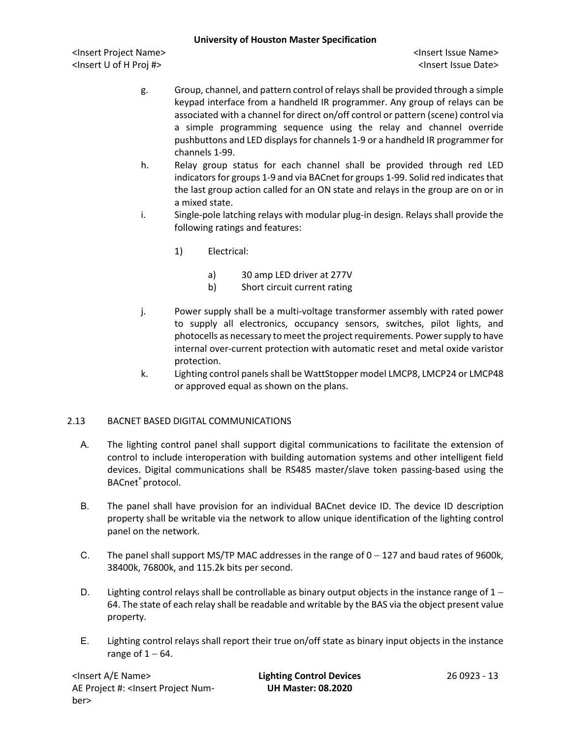<Insert Project Name> <Insert Issue Name> <Insert U of H Proj #> <Insert Issue Date>

- g. Group, channel, and pattern control of relays shall be provided through a simple keypad interface from a handheld IR programmer. Any group of relays can be associated with a channel for direct on/off control or pattern (scene) control via a simple programming sequence using the relay and channel override pushbuttons and LED displays for channels 1-9 or a handheld IR programmer for channels 1-99.
- h. Relay group status for each channel shall be provided through red LED indicators for groups 1-9 and via BACnet for groups 1-99. Solid red indicates that the last group action called for an ON state and relays in the group are on or in a mixed state.
- i. Single-pole latching relays with modular plug-in design. Relays shall provide the following ratings and features:
	- 1) Electrical:
		- a) 30 amp LED driver at 277V
		- b) Short circuit current rating
- j. Power supply shall be a multi-voltage transformer assembly with rated power to supply all electronics, occupancy sensors, switches, pilot lights, and photocells as necessary to meet the project requirements. Power supply to have internal over-current protection with automatic reset and metal oxide varistor protection.
- k. Lighting control panels shall be WattStopper model LMCP8, LMCP24 or LMCP48 or approved equal as shown on the plans.

### 2.13 BACNET BASED DIGITAL COMMUNICATIONS

- A. The lighting control panel shall support digital communications to facilitate the extension of control to include interoperation with building automation systems and other intelligent field devices. Digital communications shall be RS485 master/slave token passing-based using the BACnet® protocol.
- B. The panel shall have provision for an individual BACnet device ID. The device ID description property shall be writable via the network to allow unique identification of the lighting control panel on the network.
- C. The panel shall support MS/TP MAC addresses in the range of 0 − 127 and baud rates of 9600k, 38400k, 76800k, and 115.2k bits per second.
- D. Lighting control relays shall be controllable as binary output objects in the instance range of  $1 -$ 64. The state of each relay shall be readable and writable by the BAS via the object present value property.
- E. Lighting control relays shall report their true on/off state as binary input objects in the instance range of  $1 - 64$ .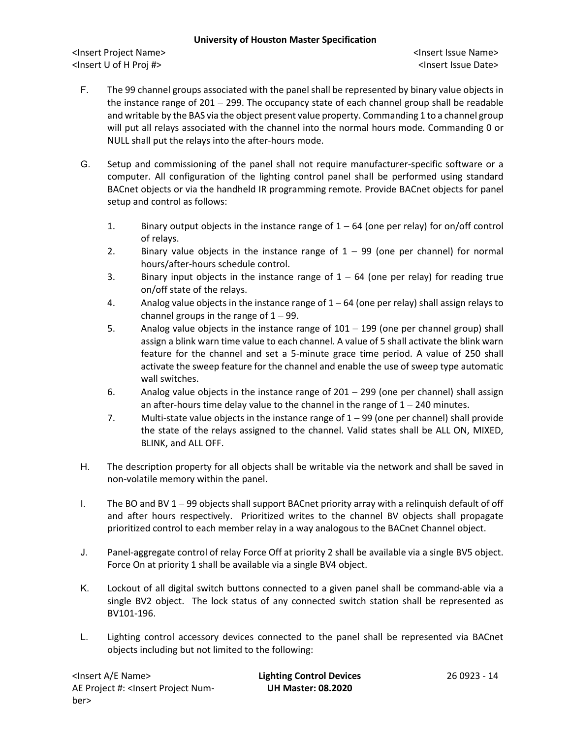- F. The 99 channel groups associated with the panel shall be represented by binary value objects in the instance range of 201 − 299. The occupancy state of each channel group shall be readable and writable by the BAS via the object present value property. Commanding 1 to a channel group will put all relays associated with the channel into the normal hours mode. Commanding 0 or NULL shall put the relays into the after-hours mode.
- G. Setup and commissioning of the panel shall not require manufacturer-specific software or a computer. All configuration of the lighting control panel shall be performed using standard BACnet objects or via the handheld IR programming remote. Provide BACnet objects for panel setup and control as follows:
	- 1. Binary output objects in the instance range of 1 − 64 (one per relay) for on/off control of relays.
	- 2. Binary value objects in the instance range of  $1 99$  (one per channel) for normal hours/after-hours schedule control.
	- 3. Binary input objects in the instance range of  $1 64$  (one per relay) for reading true on/off state of the relays.
	- 4. Analog value objects in the instance range of 1 − 64 (one per relay) shall assign relays to channel groups in the range of  $1 - 99$ .
	- 5. Analog value objects in the instance range of 101 − 199 (one per channel group) shall assign a blink warn time value to each channel. A value of 5 shall activate the blink warn feature for the channel and set a 5-minute grace time period. A value of 250 shall activate the sweep feature for the channel and enable the use of sweep type automatic wall switches.
	- 6. Analog value objects in the instance range of 201 − 299 (one per channel) shall assign an after-hours time delay value to the channel in the range of 1 − 240 minutes.
	- 7. Multi-state value objects in the instance range of 1 − 99 (one per channel) shall provide the state of the relays assigned to the channel. Valid states shall be ALL ON, MIXED, BLINK, and ALL OFF.
- H. The description property for all objects shall be writable via the network and shall be saved in non-volatile memory within the panel.
- I. The BO and BV 1 − 99 objects shall support BACnet priority array with a relinquish default of off and after hours respectively. Prioritized writes to the channel BV objects shall propagate prioritized control to each member relay in a way analogous to the BACnet Channel object.
- J. Panel-aggregate control of relay Force Off at priority 2 shall be available via a single BV5 object. Force On at priority 1 shall be available via a single BV4 object.
- K. Lockout of all digital switch buttons connected to a given panel shall be command-able via a single BV2 object. The lock status of any connected switch station shall be represented as BV101-196.
- L. Lighting control accessory devices connected to the panel shall be represented via BACnet objects including but not limited to the following: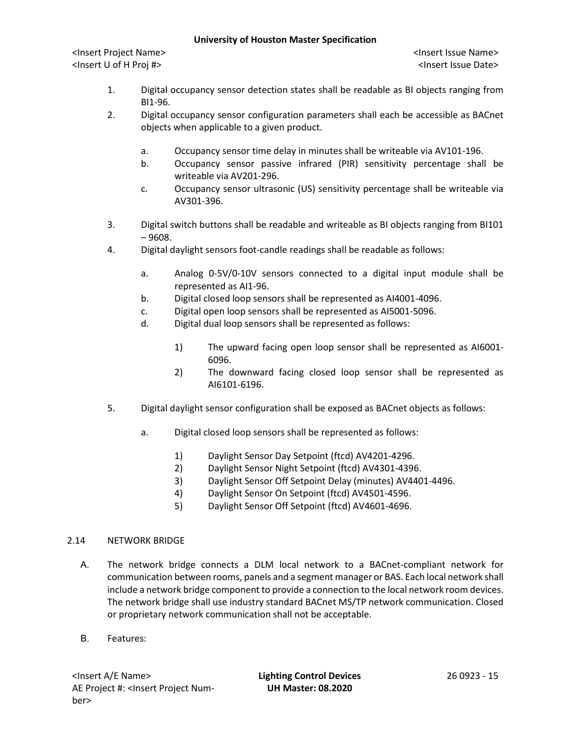<Insert Project Name> <Insert Issue Name> <Insert U of H Proj #> <Insert Issue Date>

- 1. Digital occupancy sensor detection states shall be readable as BI objects ranging from BI1-96.
- 2. Digital occupancy sensor configuration parameters shall each be accessible as BACnet objects when applicable to a given product.
	- a. Occupancy sensor time delay in minutes shall be writeable via AV101-196.
	- b. Occupancy sensor passive infrared (PIR) sensitivity percentage shall be writeable via AV201-296.
	- c. Occupancy sensor ultrasonic (US) sensitivity percentage shall be writeable via AV301-396.
- 3. Digital switch buttons shall be readable and writeable as BI objects ranging from BI101 – 9608.
- 4. Digital daylight sensors foot-candle readings shall be readable as follows:
	- a. Analog 0-5V/0-10V sensors connected to a digital input module shall be represented as AI1-96.
	- b. Digital closed loop sensors shall be represented as AI4001-4096.
	- c. Digital open loop sensors shall be represented as AI5001-5096.
	- d. Digital dual loop sensors shall be represented as follows:
		- 1) The upward facing open loop sensor shall be represented as AI6001- 6096.
		- 2) The downward facing closed loop sensor shall be represented as AI6101-6196.
- 5. Digital daylight sensor configuration shall be exposed as BACnet objects as follows:
	- a. Digital closed loop sensors shall be represented as follows:
		- 1) Daylight Sensor Day Setpoint (ftcd) AV4201-4296.
		- 2) Daylight Sensor Night Setpoint (ftcd) AV4301-4396.
		- 3) Daylight Sensor Off Setpoint Delay (minutes) AV4401-4496.
		- 4) Daylight Sensor On Setpoint (ftcd) AV4501-4596.
		- 5) Daylight Sensor Off Setpoint (ftcd) AV4601-4696.

### 2.14 NETWORK BRIDGE

- A. The network bridge connects a DLM local network to a BACnet-compliant network for communication between rooms, panels and a segment manager or BAS. Each local network shall include a network bridge component to provide a connection to the local network room devices. The network bridge shall use industry standard BACnet MS/TP network communication. Closed or proprietary network communication shall not be acceptable.
- B. Features: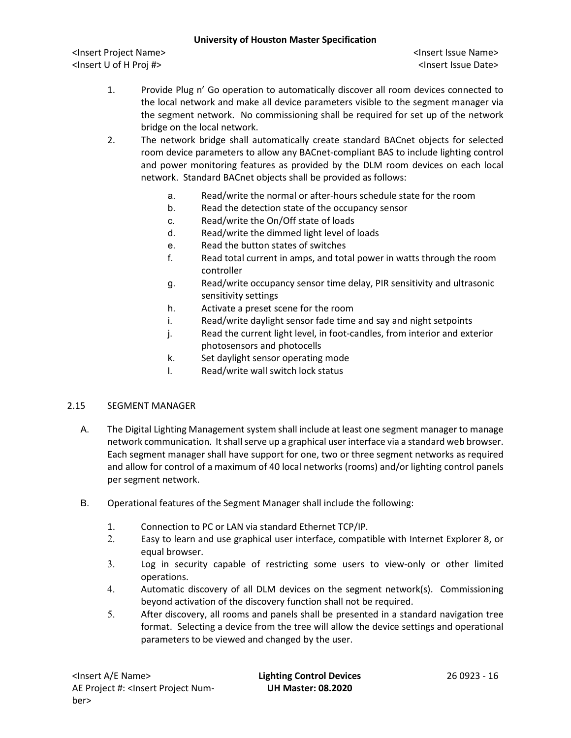<Insert Project Name> <Insert Issue Name> <Insert U of H Proj #> <Insert Issue Date>

- 1. Provide Plug n' Go operation to automatically discover all room devices connected to the local network and make all device parameters visible to the segment manager via the segment network. No commissioning shall be required for set up of the network bridge on the local network.
- 2. The network bridge shall automatically create standard BACnet objects for selected room device parameters to allow any BACnet-compliant BAS to include lighting control and power monitoring features as provided by the DLM room devices on each local network. Standard BACnet objects shall be provided as follows:
	- a. Read/write the normal or after-hours schedule state for the room
	- b. Read the detection state of the occupancy sensor
	- c. Read/write the On/Off state of loads
	- d. Read/write the dimmed light level of loads
	- e. Read the button states of switches
	- f. Read total current in amps, and total power in watts through the room controller
	- g. Read/write occupancy sensor time delay, PIR sensitivity and ultrasonic sensitivity settings
	- h. Activate a preset scene for the room
	- i. Read/write daylight sensor fade time and say and night setpoints
	- j. Read the current light level, in foot-candles, from interior and exterior photosensors and photocells
	- k. Set daylight sensor operating mode
	- l. Read/write wall switch lock status

### 2.15 SEGMENT MANAGER

- A. The Digital Lighting Management system shall include at least one segment manager to manage network communication. It shall serve up a graphical user interface via a standard web browser. Each segment manager shall have support for one, two or three segment networks as required and allow for control of a maximum of 40 local networks (rooms) and/or lighting control panels per segment network.
- B. Operational features of the Segment Manager shall include the following:
	- 1. Connection to PC or LAN via standard Ethernet TCP/IP.
	- 2. Easy to learn and use graphical user interface, compatible with Internet Explorer 8, or equal browser.
	- 3. Log in security capable of restricting some users to view-only or other limited operations.
	- 4. Automatic discovery of all DLM devices on the segment network(s). Commissioning beyond activation of the discovery function shall not be required.
	- 5. After discovery, all rooms and panels shall be presented in a standard navigation tree format. Selecting a device from the tree will allow the device settings and operational parameters to be viewed and changed by the user.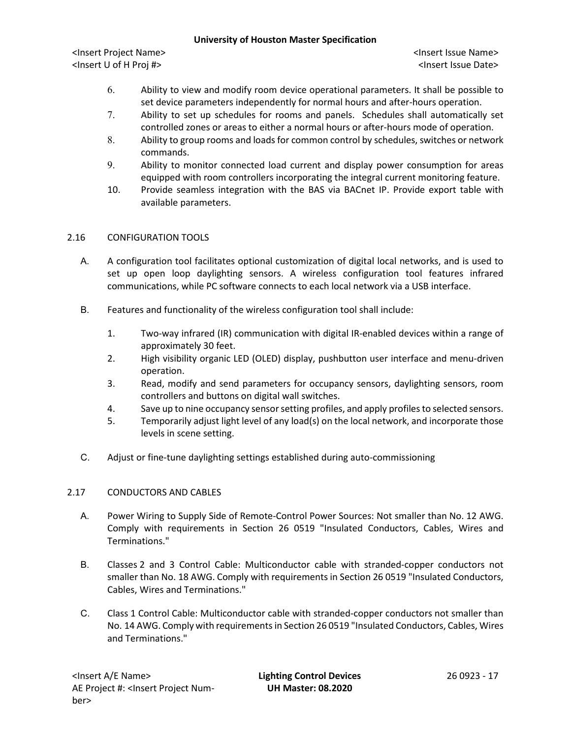<Insert Project Name> <Insert Issue Name> <Insert U of H Proj #> <Insert Issue Date>

- 6. Ability to view and modify room device operational parameters. It shall be possible to set device parameters independently for normal hours and after-hours operation.
- 7. Ability to set up schedules for rooms and panels. Schedules shall automatically set controlled zones or areas to either a normal hours or after-hours mode of operation.
- 8. Ability to group rooms and loads for common control by schedules, switches or network commands.
- 9. Ability to monitor connected load current and display power consumption for areas equipped with room controllers incorporating the integral current monitoring feature.
- 10. Provide seamless integration with the BAS via BACnet IP. Provide export table with available parameters.

# 2.16 CONFIGURATION TOOLS

- A. A configuration tool facilitates optional customization of digital local networks, and is used to set up open loop daylighting sensors. A wireless configuration tool features infrared communications, while PC software connects to each local network via a USB interface.
- B. Features and functionality of the wireless configuration tool shall include:
	- 1. Two-way infrared (IR) communication with digital IR-enabled devices within a range of approximately 30 feet.
	- 2. High visibility organic LED (OLED) display, pushbutton user interface and menu-driven operation.
	- 3. Read, modify and send parameters for occupancy sensors, daylighting sensors, room controllers and buttons on digital wall switches.
	- 4. Save up to nine occupancy sensor setting profiles, and apply profiles to selected sensors.
	- 5. Temporarily adjust light level of any load(s) on the local network, and incorporate those levels in scene setting.
- C. Adjust or fine-tune daylighting settings established during auto-commissioning

### 2.17 CONDUCTORS AND CABLES

- A. Power Wiring to Supply Side of Remote-Control Power Sources: Not smaller than No. 12 AWG. Comply with requirements in Section 26 0519 "Insulated Conductors, Cables, Wires and Terminations."
- B. Classes 2 and 3 Control Cable: Multiconductor cable with stranded-copper conductors not smaller than No. 18 AWG. Comply with requirements in Section 26 0519 "Insulated Conductors, Cables, Wires and Terminations."
- C. Class 1 Control Cable: Multiconductor cable with stranded-copper conductors not smaller than No. 14 AWG. Comply with requirements in Section 26 0519 "Insulated Conductors, Cables, Wires and Terminations."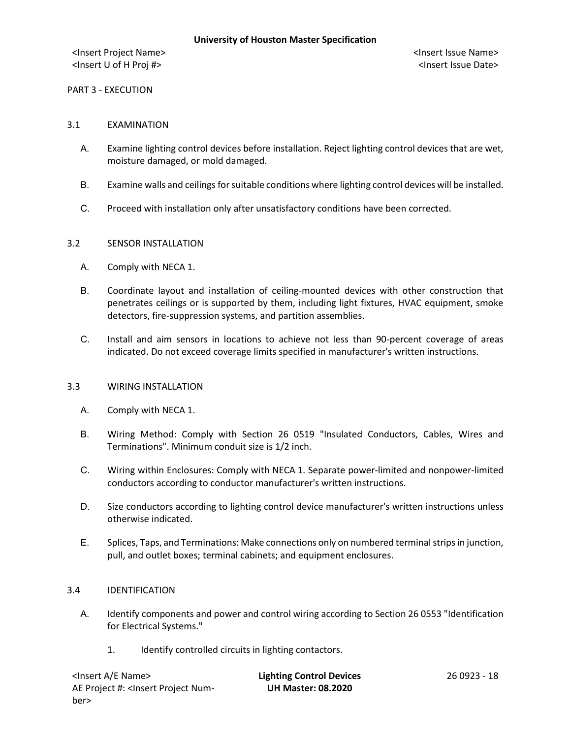PART 3 - EXECUTION

#### 3.1 EXAMINATION

- A. Examine lighting control devices before installation. Reject lighting control devices that are wet, moisture damaged, or mold damaged.
- B. Examine walls and ceilings for suitable conditions where lighting control devices will be installed.
- C. Proceed with installation only after unsatisfactory conditions have been corrected.

#### 3.2 SENSOR INSTALLATION

- A. Comply with NECA 1.
- B. Coordinate layout and installation of ceiling-mounted devices with other construction that penetrates ceilings or is supported by them, including light fixtures, HVAC equipment, smoke detectors, fire-suppression systems, and partition assemblies.
- C. Install and aim sensors in locations to achieve not less than 90-percent coverage of areas indicated. Do not exceed coverage limits specified in manufacturer's written instructions.

#### 3.3 WIRING INSTALLATION

- A. Comply with NECA 1.
- B. Wiring Method: Comply with Section 26 0519 "Insulated Conductors, Cables, Wires and Terminations". Minimum conduit size is 1/2 inch.
- C. Wiring within Enclosures: Comply with NECA 1. Separate power-limited and nonpower-limited conductors according to conductor manufacturer's written instructions.
- D. Size conductors according to lighting control device manufacturer's written instructions unless otherwise indicated.
- E. Splices, Taps, and Terminations: Make connections only on numbered terminal strips in junction, pull, and outlet boxes; terminal cabinets; and equipment enclosures.

#### 3.4 IDENTIFICATION

- A. Identify components and power and control wiring according to Section 26 0553 "Identification for Electrical Systems."
	- 1. Identify controlled circuits in lighting contactors.

| <lnsert a="" e="" name=""></lnsert>                                                                  | <b>Lighting Control Devices</b> | 26 0923 - 18 |
|------------------------------------------------------------------------------------------------------|---------------------------------|--------------|
| AE Project #: <lnsert num-<="" project="" td=""><td><b>UH Master: 08.2020</b></td><td></td></lnsert> | <b>UH Master: 08.2020</b>       |              |
| ber>                                                                                                 |                                 |              |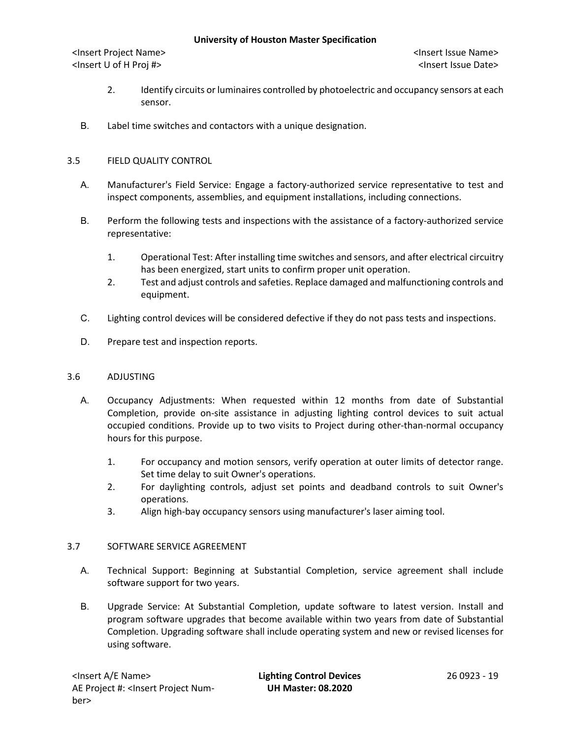- 2. Identify circuits or luminaires controlled by photoelectric and occupancy sensors at each sensor.
- B. Label time switches and contactors with a unique designation.

# 3.5 FIELD QUALITY CONTROL

- A. Manufacturer's Field Service: Engage a factory-authorized service representative to test and inspect components, assemblies, and equipment installations, including connections.
- B. Perform the following tests and inspections with the assistance of a factory-authorized service representative:
	- 1. Operational Test: After installing time switches and sensors, and after electrical circuitry has been energized, start units to confirm proper unit operation.
	- 2. Test and adjust controls and safeties. Replace damaged and malfunctioning controls and equipment.
- C. Lighting control devices will be considered defective if they do not pass tests and inspections.
- D. Prepare test and inspection reports.

### 3.6 ADJUSTING

- A. Occupancy Adjustments: When requested within 12 months from date of Substantial Completion, provide on-site assistance in adjusting lighting control devices to suit actual occupied conditions. Provide up to two visits to Project during other-than-normal occupancy hours for this purpose.
	- 1. For occupancy and motion sensors, verify operation at outer limits of detector range. Set time delay to suit Owner's operations.
	- 2. For daylighting controls, adjust set points and deadband controls to suit Owner's operations.
	- 3. Align high-bay occupancy sensors using manufacturer's laser aiming tool.

### 3.7 SOFTWARE SERVICE AGREEMENT

- A. Technical Support: Beginning at Substantial Completion, service agreement shall include software support for two years.
- B. Upgrade Service: At Substantial Completion, update software to latest version. Install and program software upgrades that become available within two years from date of Substantial Completion. Upgrading software shall include operating system and new or revised licenses for using software.